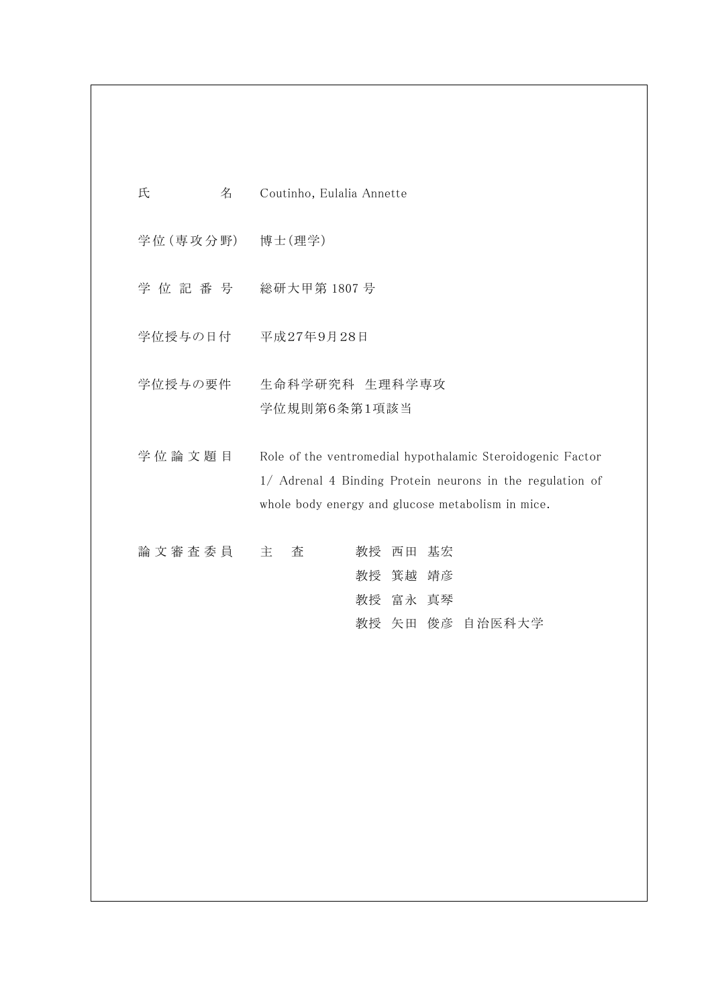| 氏<br>名          | Coutinho, Eulalia Annette                                                                                                                                                    |
|-----------------|------------------------------------------------------------------------------------------------------------------------------------------------------------------------------|
| 学位(専攻分野) 博士(理学) |                                                                                                                                                                              |
| 学位記番号           | 総研大甲第 1807 号                                                                                                                                                                 |
| 学位授与の日付         | 平成27年9月28日                                                                                                                                                                   |
| 学位授与の要件         | 生命科学研究科 生理科学専攻<br>学位規則第6条第1項該当                                                                                                                                               |
| 学位論文題目          | Role of the ventromedial hypothalamic Steroidogenic Factor<br>1/ Adrenal 4 Binding Protein neurons in the regulation of<br>whole body energy and glucose metabolism in mice. |
| 論文審査委員          | 基宏<br>主<br>査<br>教授<br>西田<br>教授 箕越 靖彦<br>教授 富永 真琴<br>教授 矢田 俊彦 自治医科大学                                                                                                          |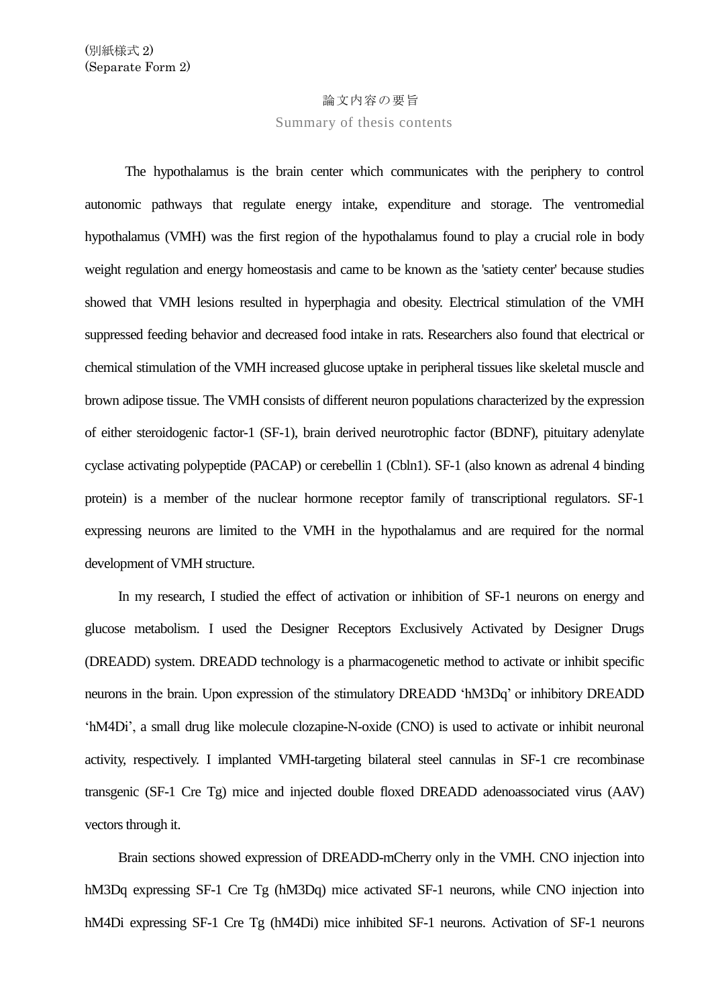## 論文内容の要旨

Summary of thesis contents

The hypothalamus is the brain center which communicates with the periphery to control autonomic pathways that regulate energy intake, expenditure and storage. The ventromedial hypothalamus (VMH) was the first region of the hypothalamus found to play a crucial role in body weight regulation and energy homeostasis and came to be known as the 'satiety center' because studies showed that VMH lesions resulted in hyperphagia and obesity. Electrical stimulation of the VMH suppressed feeding behavior and decreased food intake in rats. Researchers also found that electrical or chemical stimulation of the VMH increased glucose uptake in peripheral tissues like skeletal muscle and brown adipose tissue. The VMH consists of different neuron populations characterized by the expression of either steroidogenic factor-1 (SF-1), brain derived neurotrophic factor (BDNF), pituitary adenylate cyclase activating polypeptide (PACAP) or cerebellin 1 (Cbln1). SF-1 (also known as adrenal 4 binding protein) is a member of the nuclear hormone receptor family of transcriptional regulators. SF-1 expressing neurons are limited to the VMH in the hypothalamus and are required for the normal development of VMH structure.

In my research, I studied the effect of activation or inhibition of SF-1 neurons on energy and glucose metabolism. I used the Designer Receptors Exclusively Activated by Designer Drugs (DREADD) system. DREADD technology is a pharmacogenetic method to activate or inhibit specific neurons in the brain. Upon expression of the stimulatory DREADD 'hM3Dq' or inhibitory DREADD 'hM4Di', a small drug like molecule clozapine-N-oxide (CNO) is used to activate or inhibit neuronal activity, respectively. I implanted VMH-targeting bilateral steel cannulas in SF-1 cre recombinase transgenic (SF-1 Cre Tg) mice and injected double floxed DREADD adenoassociated virus (AAV) vectors through it.

Brain sections showed expression of DREADD-mCherry only in the VMH. CNO injection into hM3Dq expressing SF-1 Cre Tg (hM3Dq) mice activated SF-1 neurons, while CNO injection into hM4Di expressing SF-1 Cre Tg (hM4Di) mice inhibited SF-1 neurons. Activation of SF-1 neurons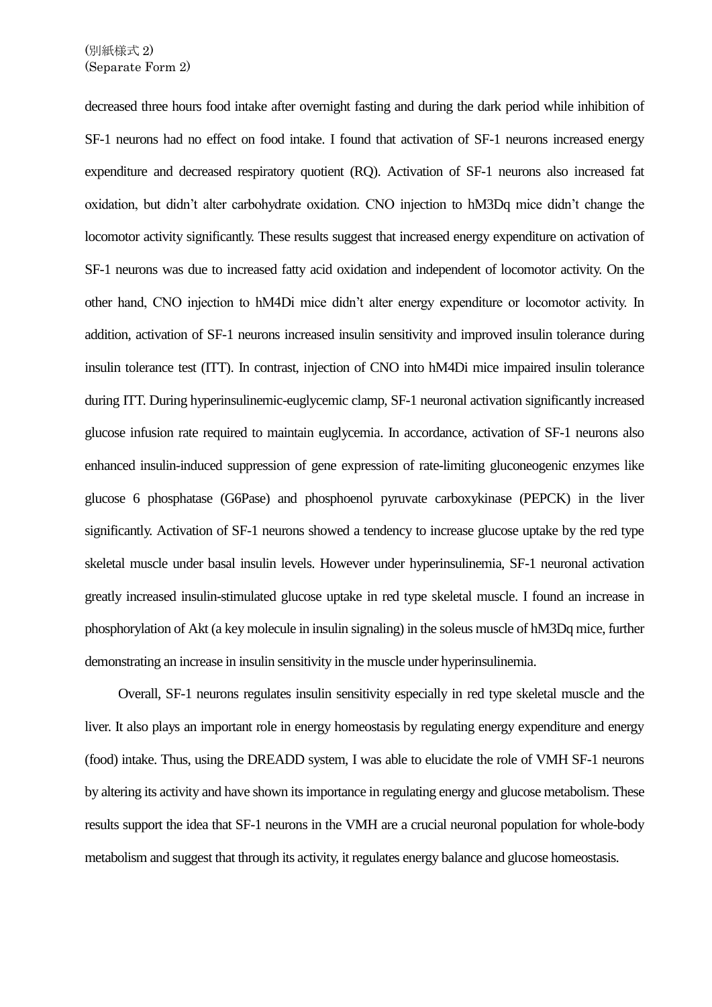decreased three hours food intake after overnight fasting and during the dark period while inhibition of SF-1 neurons had no effect on food intake. I found that activation of SF-1 neurons increased energy expenditure and decreased respiratory quotient (RQ). Activation of SF-1 neurons also increased fat oxidation, but didn't alter carbohydrate oxidation. CNO injection to hM3Dq mice didn't change the locomotor activity significantly. These results suggest that increased energy expenditure on activation of SF-1 neurons was due to increased fatty acid oxidation and independent of locomotor activity. On the other hand, CNO injection to hM4Di mice didn't alter energy expenditure or locomotor activity. In addition, activation of SF-1 neurons increased insulin sensitivity and improved insulin tolerance during insulin tolerance test (ITT). In contrast, injection of CNO into hM4Di mice impaired insulin tolerance during ITT. During hyperinsulinemic-euglycemic clamp, SF-1 neuronal activation significantly increased glucose infusion rate required to maintain euglycemia. In accordance, activation of SF-1 neurons also enhanced insulin-induced suppression of gene expression of rate-limiting gluconeogenic enzymes like glucose 6 phosphatase (G6Pase) and phosphoenol pyruvate carboxykinase (PEPCK) in the liver significantly. Activation of SF-1 neurons showed a tendency to increase glucose uptake by the red type skeletal muscle under basal insulin levels. However under hyperinsulinemia, SF-1 neuronal activation greatly increased insulin-stimulated glucose uptake in red type skeletal muscle. I found an increase in phosphorylation of Akt (a key molecule in insulin signaling) in the soleus muscle of hM3Dq mice, further demonstrating an increase in insulin sensitivity in the muscle under hyperinsulinemia.

Overall, SF-1 neurons regulates insulin sensitivity especially in red type skeletal muscle and the liver. It also plays an important role in energy homeostasis by regulating energy expenditure and energy (food) intake. Thus, using the DREADD system, I was able to elucidate the role of VMH SF-1 neurons by altering its activity and have shown its importance in regulating energy and glucose metabolism. These results support the idea that SF-1 neurons in the VMH are a crucial neuronal population for whole-body metabolism and suggest that through its activity, it regulates energy balance and glucose homeostasis.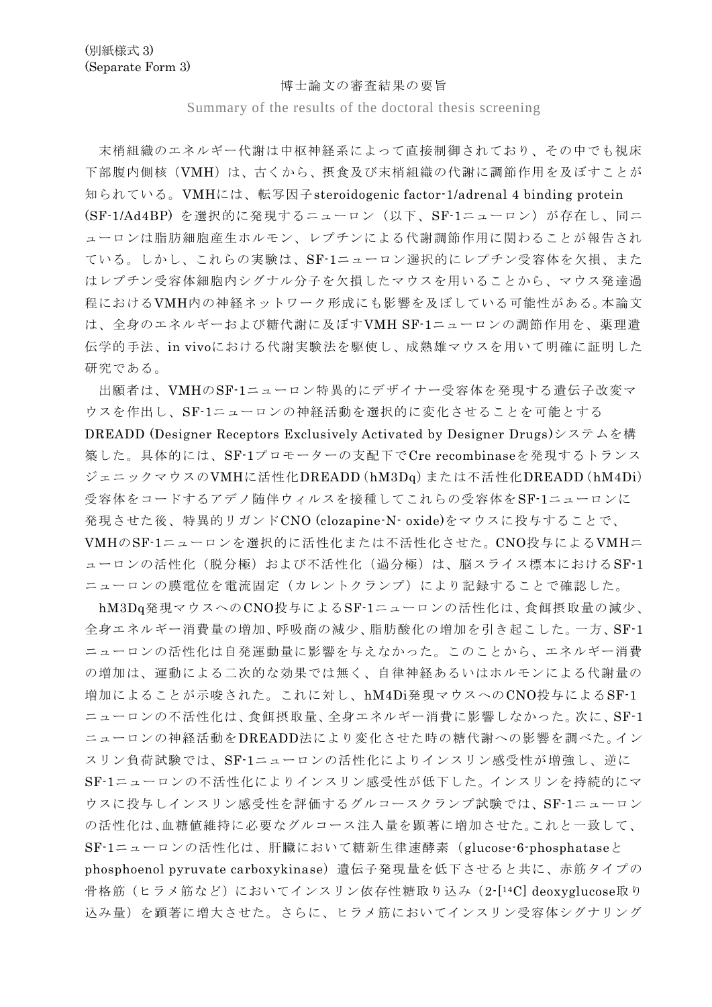## 博士論文の審査結果の要旨

Summary of the results of the doctoral thesis screening

末梢組織のエネルギー代謝は中枢神経系によって直接制御されており、その中でも視床 下部腹内側核(VMH)は、古くから、摂食及び末梢組織の代謝に調節作用を及ぼすことが 知られている。VMHには、転写因子steroidogenic factor-1/adrenal 4 binding protein (SF-1/Ad4BP) を選択的に発現するニューロン(以下、SF-1ニューロン)が存在し、同ニ ューロンは脂肪細胞産生ホルモン、レプチンによる代謝調節作用に関わることが報告され ている。しかし、これらの実験は、SF-1ニューロン選択的にレプチン受容体を欠損、また はレプチン受容体細胞内シグナル分子を欠損したマウスを用いることから、マウス発達過 程におけるVMH内の神経ネットワーク形成にも影響を及ぼしている可能性がある。本論文 は、全身のエネルギーおよび糖代謝に及ぼすVMH SF-1ニューロンの調節作用を、薬理遺 伝学的手法、in vivoにおける代謝実験法を駆使し、成熟雄マウスを用いて明確に証明した 研究である。

出願者は、VMHのSF-1ニューロン特異的にデザイナー受容体を発現する遺伝子改変マ ウスを作出し、SF-1ニューロンの神経活動を選択的に変化させることを可能とする DREADD (Designer Receptors Exclusively Activated by Designer Drugs)システムを構 築した。具体的には、SF-1プロモーターの支配下でCre recombinaseを発現するトランス ジェニックマウスのVMHに活性化DREADD(hM3Dq)または不活性化DREADD(hM4Di) 受容体をコードするアデノ随伴ウィルスを接種してこれらの受容体をSF-1ニューロンに 発現させた後、特異的リガンドCNO (clozapine-N- oxide)をマウスに投与することで、 VMHのSF-1ニューロンを選択的に活性化または不活性化させた。CNO投与によるVMHニ ューロンの活性化(脱分極)および不活性化(過分極)は、脳スライス標本におけるSF-1 ニューロンの膜電位を電流固定(カレントクランプ)により記録することで確認した。

hM3Dq発現マウスへのCNO投与によるSF-1ニューロンの活性化は、食餌摂取量の減少、 全身エネルギー消費量の増加、呼吸商の減少、脂肪酸化の増加を引き起こした。一方、SF-1 ニューロンの活性化は自発運動量に影響を与えなかった。このことから、エネルギー消費 の増加は、運動による二次的な効果では無く、自律神経あるいはホルモンによる代謝量の 増加によることが示唆された。これに対し、hM4Di発現マウスへのCNO投与によるSF-1 ニューロンの不活性化は、食餌摂取量、全身エネルギー消費に影響しなかった。次に、SF-1 ニューロンの神経活動をDREADD法により変化させた時の糖代謝への影響を調べた。イン スリン負荷試験では、SF-1ニューロンの活性化によりインスリン感受性が増強し、逆に SF-1ニューロンの不活性化によりインスリン感受性が低下した。インスリンを持続的にマ ウスに投与しインスリン感受性を評価するグルコースクランプ試験では、SF-1ニューロン の活性化は、血糖値維持に必要なグルコース注入量を顕著に増加させた。これと一致して、 SF-1ニューロンの活性化は、肝臓において糖新生律速酵素(glucose-6-phosphataseと phosphoenol pyruvate carboxykinase)遺伝子発現量を低下させると共に、赤筋タイプの 骨格筋(ヒラメ筋など)においてインスリン依存性糖取り込み (2-[14C] deoxyglucose取り 込み量)を顕著に増大させた。さらに、ヒラメ筋においてインスリン受容体シグナリング